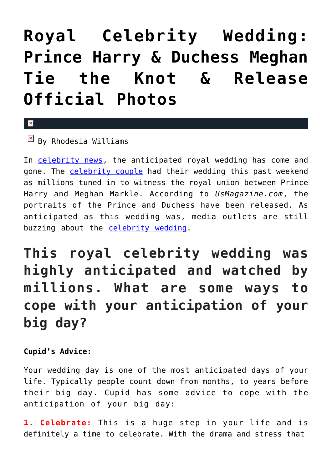## **[Royal Celebrity Wedding:](https://cupidspulse.com/124818/royal-celebrity-wedding-prince-harry-duchess-meghan-official-photos/) [Prince Harry & Duchess Meghan](https://cupidspulse.com/124818/royal-celebrity-wedding-prince-harry-duchess-meghan-official-photos/) [Tie the Knot & Release](https://cupidspulse.com/124818/royal-celebrity-wedding-prince-harry-duchess-meghan-official-photos/) [Official Photos](https://cupidspulse.com/124818/royal-celebrity-wedding-prince-harry-duchess-meghan-official-photos/)**

 $\mathbf{x}$ 

 $\boxed{\times}$  By Rhodesia Williams

In [celebrity news,](http://www.cupidspulse.com) the anticipated royal wedding has come and gone. The [celebrity couple](http://cupidspulse.com/celebrity-news/celebrity-dating/) had their wedding this past weekend as millions tuned in to witness the royal union between Prince Harry and Meghan Markle. According to *UsMagazine.com*, the portraits of the Prince and Duchess have been released. As anticipated as this wedding was, media outlets are still buzzing about the [celebrity wedding.](http://cupidspulse.com/celebrity-relationships/wedding-engagement/)

**This royal celebrity wedding was highly anticipated and watched by millions. What are some ways to cope with your anticipation of your big day?**

**Cupid's Advice:**

Your wedding day is one of the most anticipated days of your life. Typically people count down from months, to years before their big day. Cupid has some advice to cope with the anticipation of your big day:

**1. Celebrate:** This is a huge step in your life and is definitely a time to celebrate. With the drama and stress that